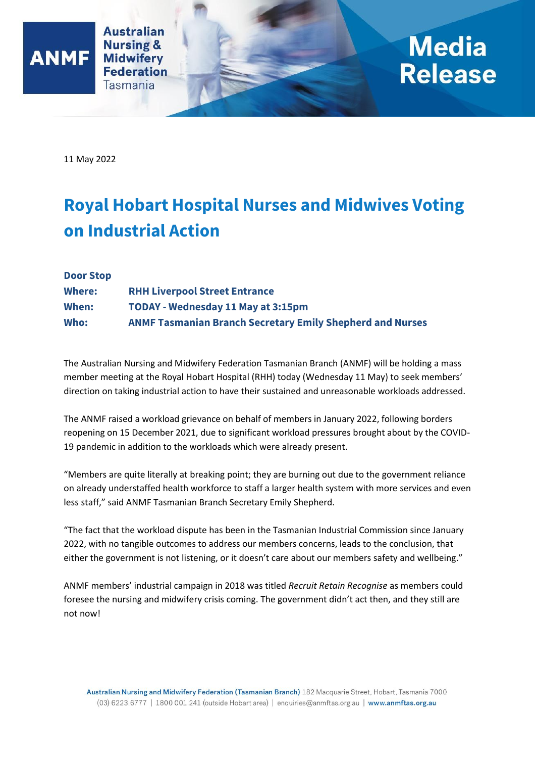

## **Media** Release

11 May 2022

**ANMF** 

## **Royal Hobart Hospital Nurses and Midwives Voting on Industrial Action**

| <b>Door Stop</b> |                                                                  |
|------------------|------------------------------------------------------------------|
| <b>Where:</b>    | <b>RHH Liverpool Street Entrance</b>                             |
| When:            | <b>TODAY - Wednesday 11 May at 3:15pm</b>                        |
| Who:             | <b>ANMF Tasmanian Branch Secretary Emily Shepherd and Nurses</b> |

The Australian Nursing and Midwifery Federation Tasmanian Branch (ANMF) will be holding a mass member meeting at the Royal Hobart Hospital (RHH) today (Wednesday 11 May) to seek members' direction on taking industrial action to have their sustained and unreasonable workloads addressed.

The ANMF raised a workload grievance on behalf of members in January 2022, following borders reopening on 15 December 2021, due to significant workload pressures brought about by the COVID-19 pandemic in addition to the workloads which were already present.

"Members are quite literally at breaking point; they are burning out due to the government reliance on already understaffed health workforce to staff a larger health system with more services and even less staff," said ANMF Tasmanian Branch Secretary Emily Shepherd.

"The fact that the workload dispute has been in the Tasmanian Industrial Commission since January 2022, with no tangible outcomes to address our members concerns, leads to the conclusion, that either the government is not listening, or it doesn't care about our members safety and wellbeing."

ANMF members' industrial campaign in 2018 was titled *Recruit Retain Recognise* as members could foresee the nursing and midwifery crisis coming. The government didn't act then, and they still are not now!